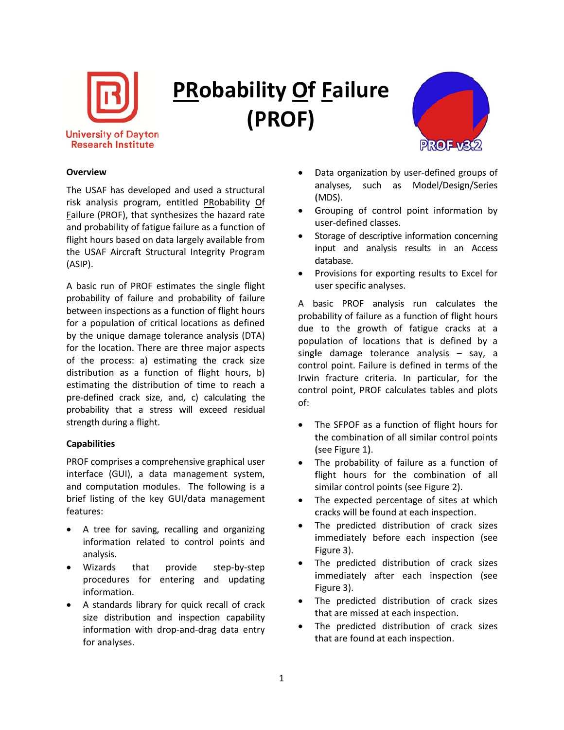

## **PRobability Of Failure** (PROF)



## **Overview**

The USAF has developed and used a structural risk analysis program, entitled PRobability Of Failure (PROF), that synthesizes the hazard rate and probability of fatigue failure as a function of flight hours based on data largely available from the USAF Aircraft Structural Integrity Program  $(ASIP)$ .

A basic run of PROF estimates the single flight probability of failure and probability of failure between inspections as a function of flight hours for a population of critical locations as defined by the unique damage tolerance analysis (DTA) for the location. There are three major aspects of the process: a) estimating the crack size distribution as a function of flight hours, b) estimating the distribution of time to reach a pre-defined crack size, and, c) calculating the probability that a stress will exceed residual strength during a flight.

## **Capabilities**

PROF comprises a comprehensive graphical user interface (GUI), a data management system, and computation modules. The following is a brief listing of the key GUI/data management features:

- A tree for saving, recalling and organizing information related to control points and analysis.
- Wizards that provide step-by-step procedures for entering and updating information.
- A standards library for quick recall of crack size distribution and inspection capability information with drop-and-drag data entry for analyses.
- Data organization by user-defined groups of analyses, such as Model/Design/Series (MDS).
- Grouping of control point information by user-defined classes.
- Storage of descriptive information concerning input and analysis results in an Access database.
- Provisions for exporting results to Excel for user specific analyses.

A basic PROF analysis run calculates the probability of failure as a function of flight hours due to the growth of fatigue cracks at a population of locations that is defined by a single damage tolerance analysis - say, a control point. Failure is defined in terms of the Irwin fracture criteria. In particular, for the control point, PROF calculates tables and plots  $of:$ 

- $\bullet$ The SFPOF as a function of flight hours for the combination of all similar control points (see Figure 1).
- $\bullet$ The probability of failure as a function of flight hours for the combination of all similar control points (see Figure 2).
- The expected percentage of sites at which  $\bullet$ cracks will be found at each inspection.
- The predicted distribution of crack sizes immediately before each inspection (see Figure 3).
- The predicted distribution of crack sizes immediately after each inspection (see Figure 3).
- The predicted distribution of crack sizes that are missed at each inspection.
- The predicted distribution of crack sizes that are found at each inspection.